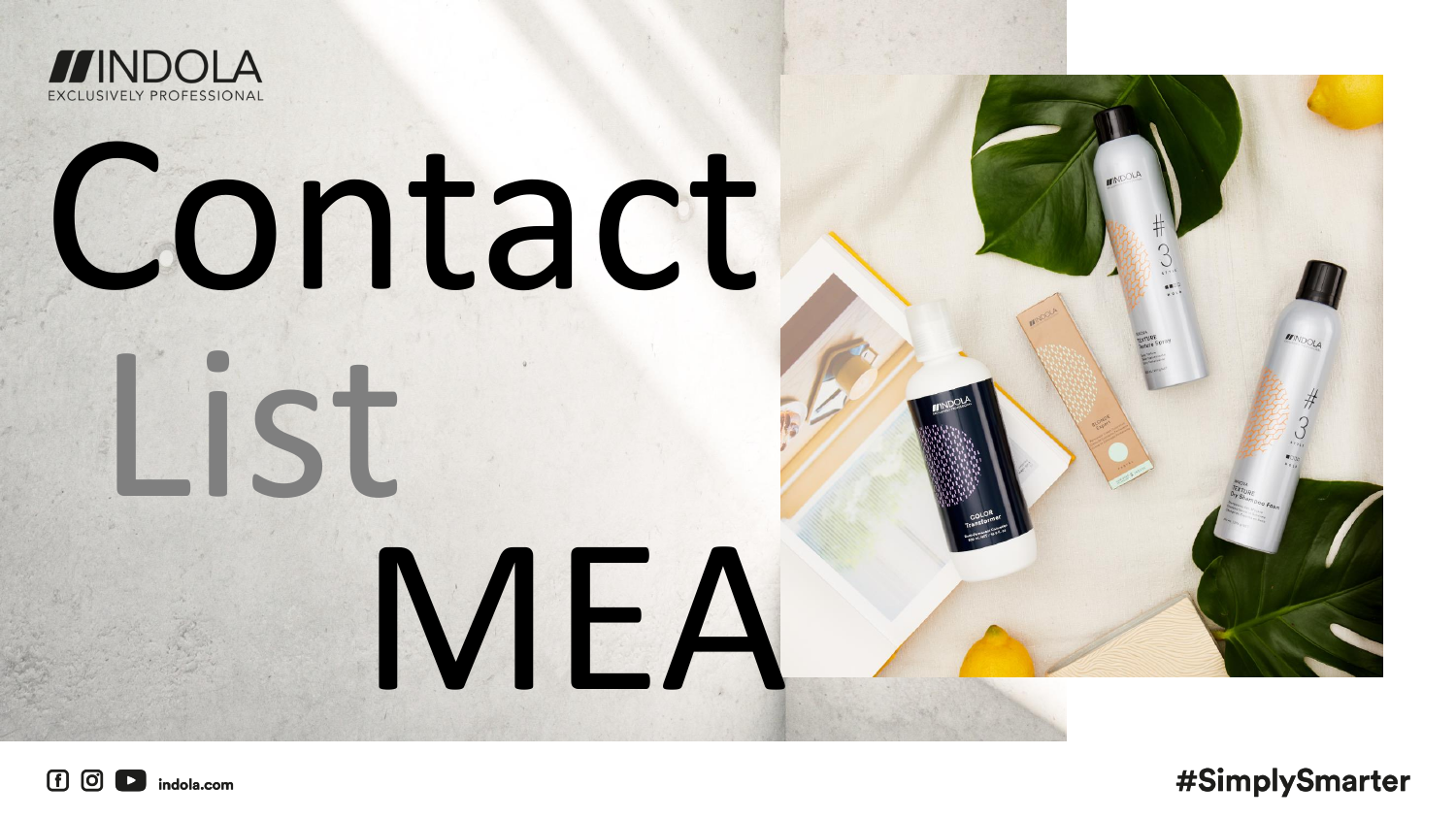



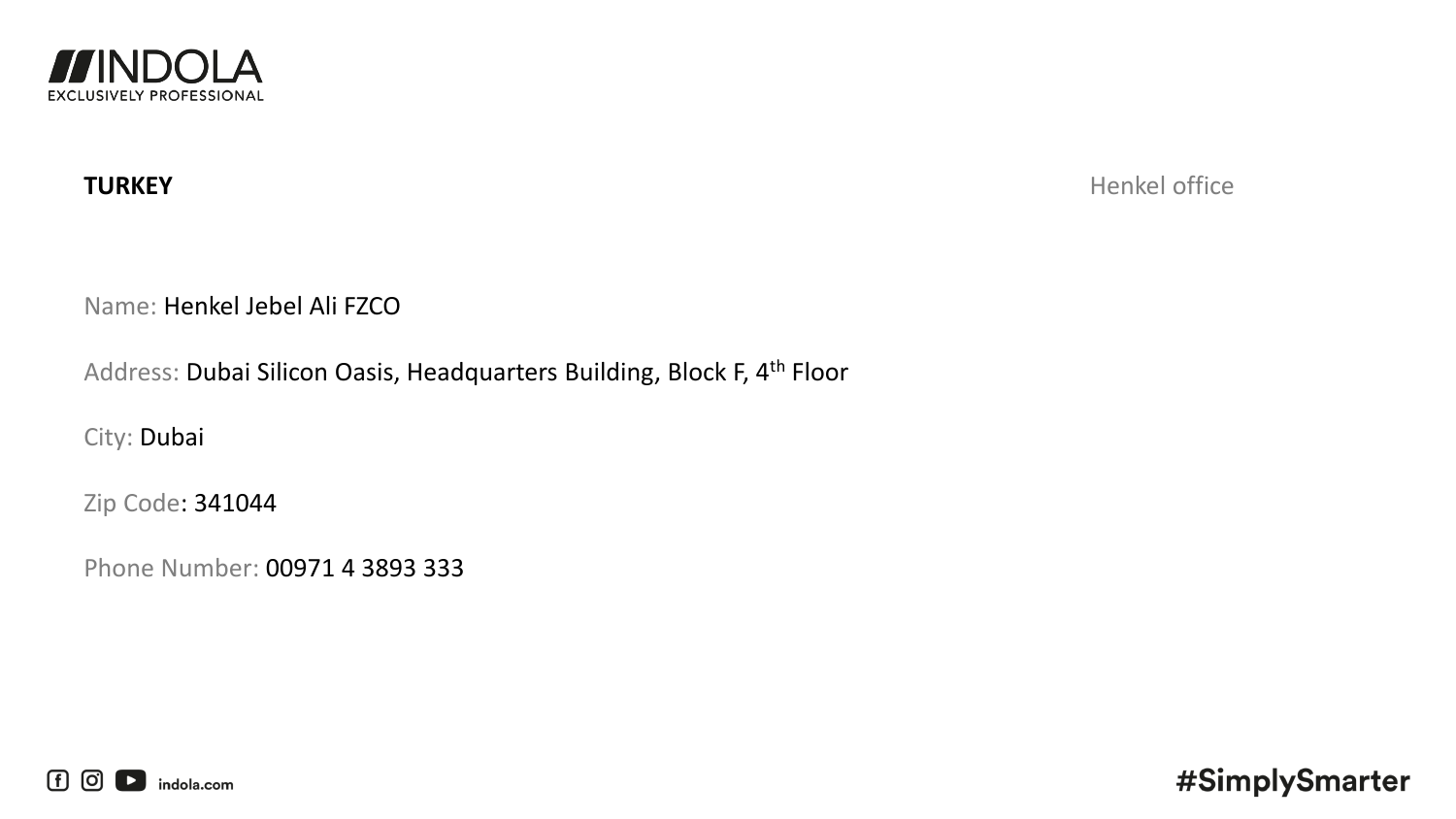

**TURKEY** Henkel office

Name: Henkel Jebel Ali FZCO

Address: Dubai Silicon Oasis, Headquarters Building, Block F, 4th Floor

City: Dubai

Zip Code: 341044

Phone Number: 00971 4 3893 333

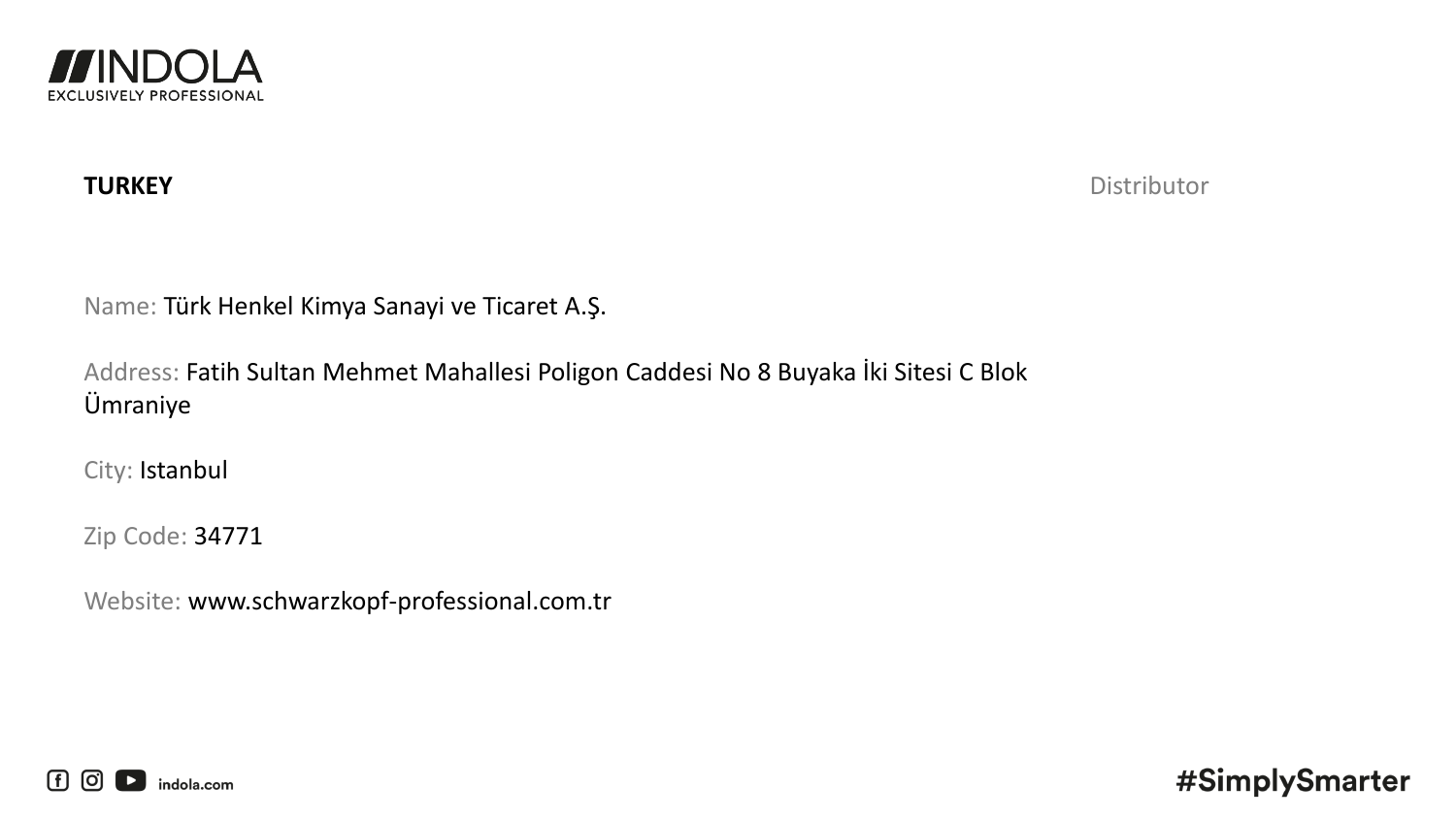

**TURKEY** Distributor

Name: Türk Henkel Kimya Sanayi ve Ticaret A.Ş.

Address: Fatih Sultan Mehmet Mahallesi Poligon Caddesi No 8 Buyaka İki Sitesi C Blok Ümraniye

City: Istanbul

Zip Code: 34771

Website: www.schwarzkopf-professional.com.tr

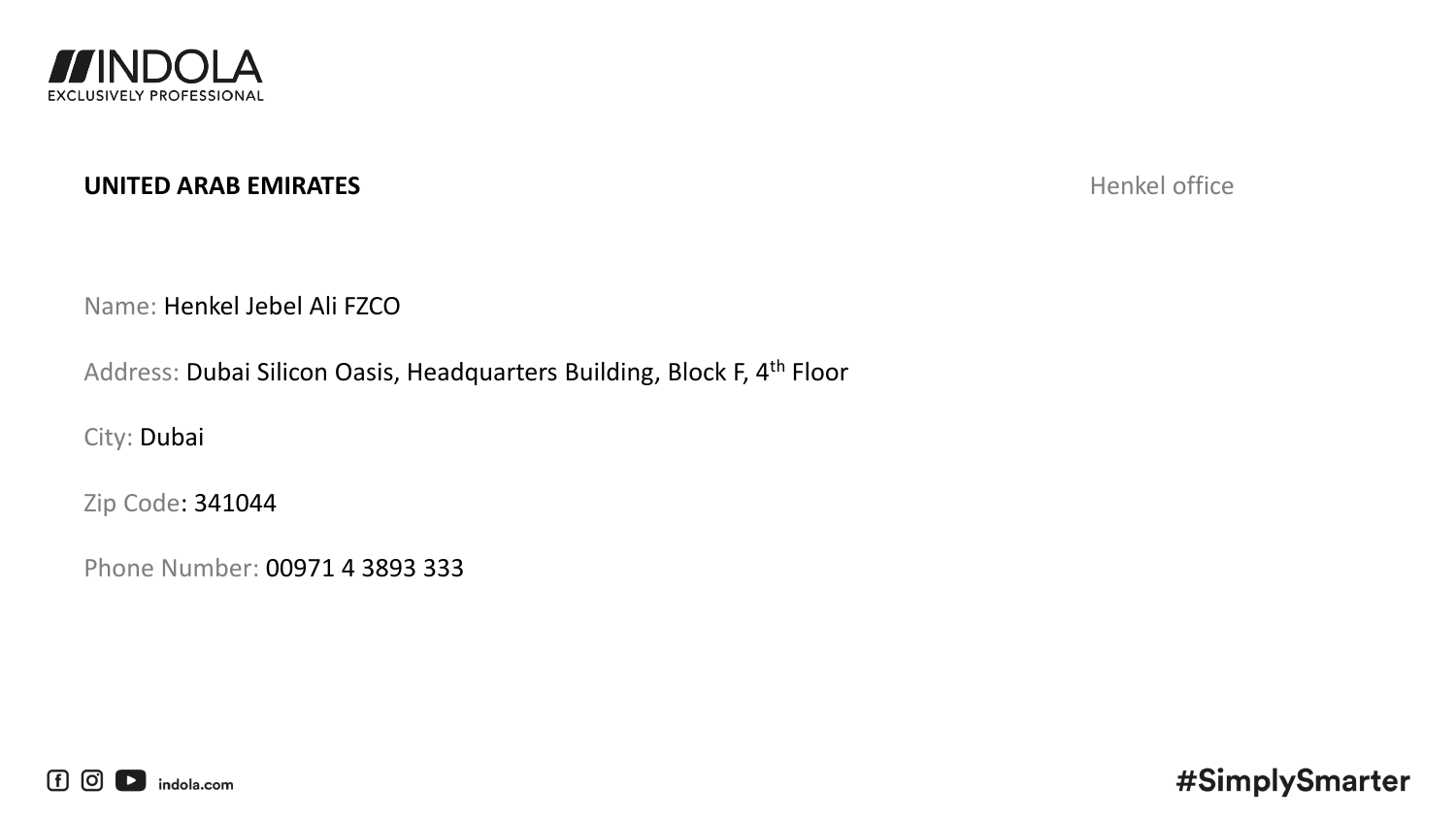

# **UNITED ARAB EMIRATES** Henkel office

Name: Henkel Jebel Ali FZCO

Address: Dubai Silicon Oasis, Headquarters Building, Block F, 4th Floor

City: Dubai

Zip Code: 341044

Phone Number: 00971 4 3893 333

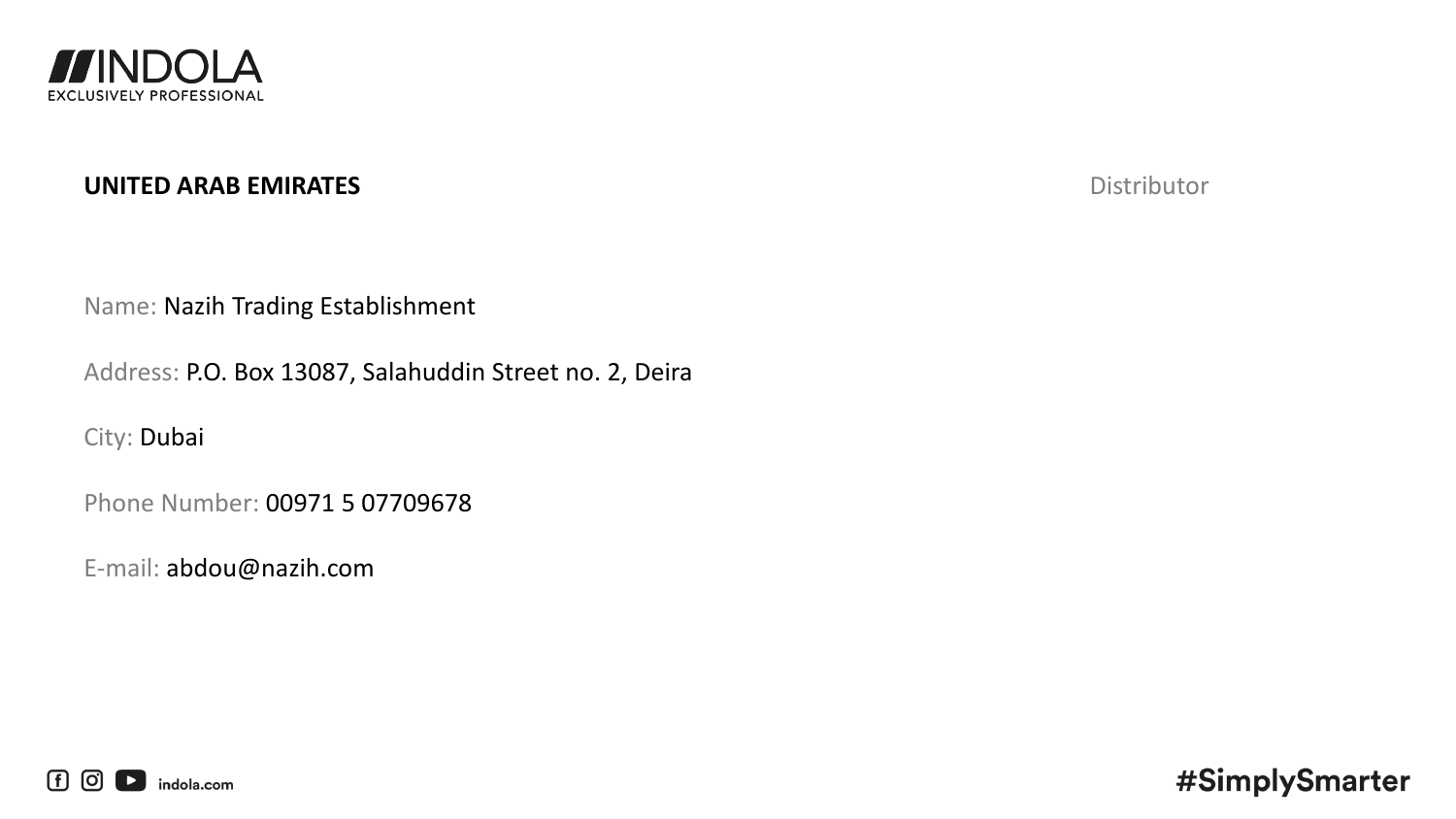

### **UNITED ARAB EMIRATES** Distributor

Name: Nazih Trading Establishment

Address: P.O. Box 13087, Salahuddin Street no. 2, Deira

City: Dubai

Phone Number: 00971 5 07709678

E-mail: abdou@nazih.com

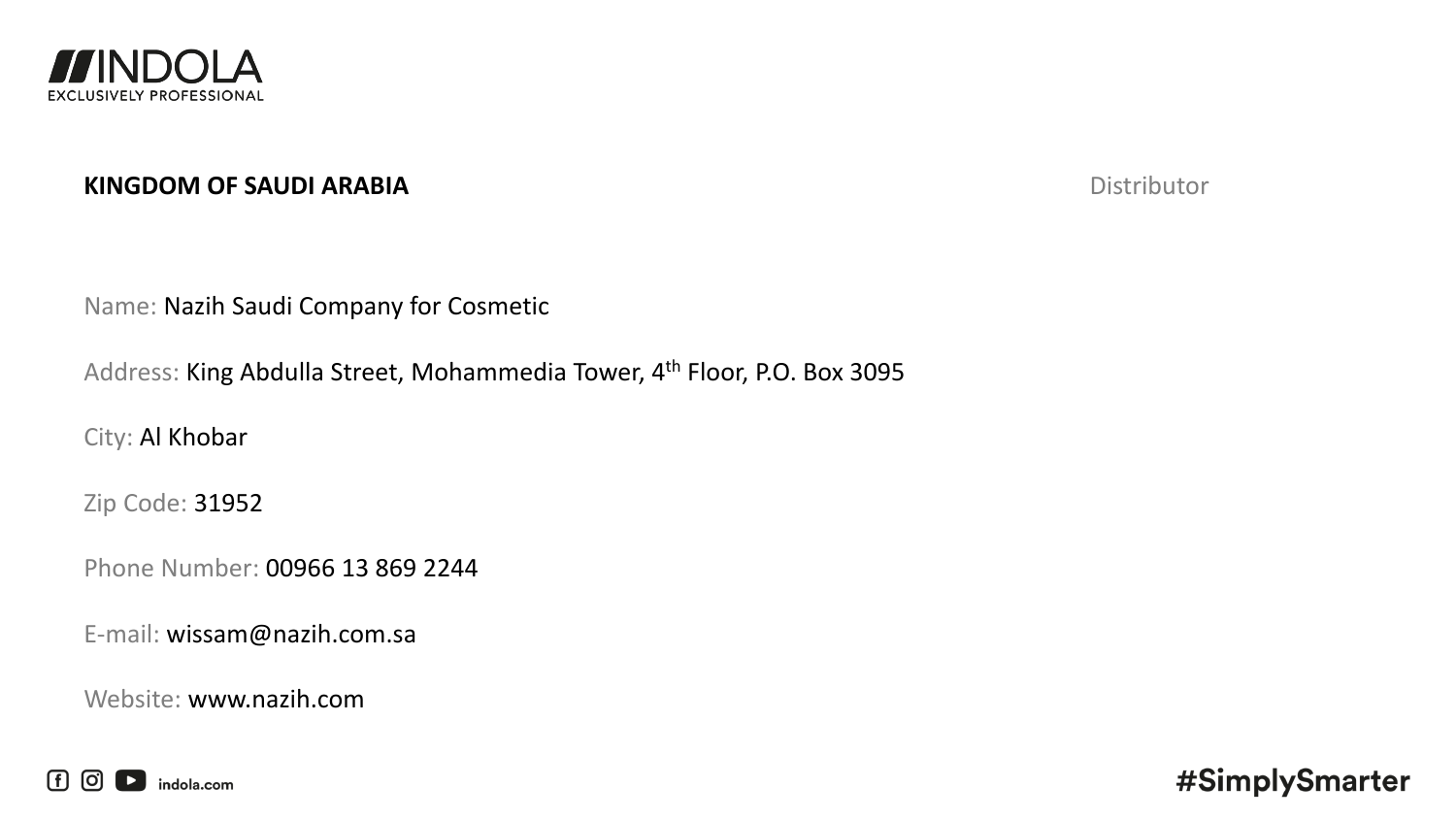

### **KINGDOM OF SAUDI ARABIA** Distributor

Name: Nazih Saudi Company for Cosmetic

Address: King Abdulla Street, Mohammedia Tower, 4th Floor, P.O. Box 3095

City: Al Khobar

Zip Code: 31952

Phone Number: 00966 13 869 2244

E-mail: wissam@nazih.com.sa

Website: www.nazih.com

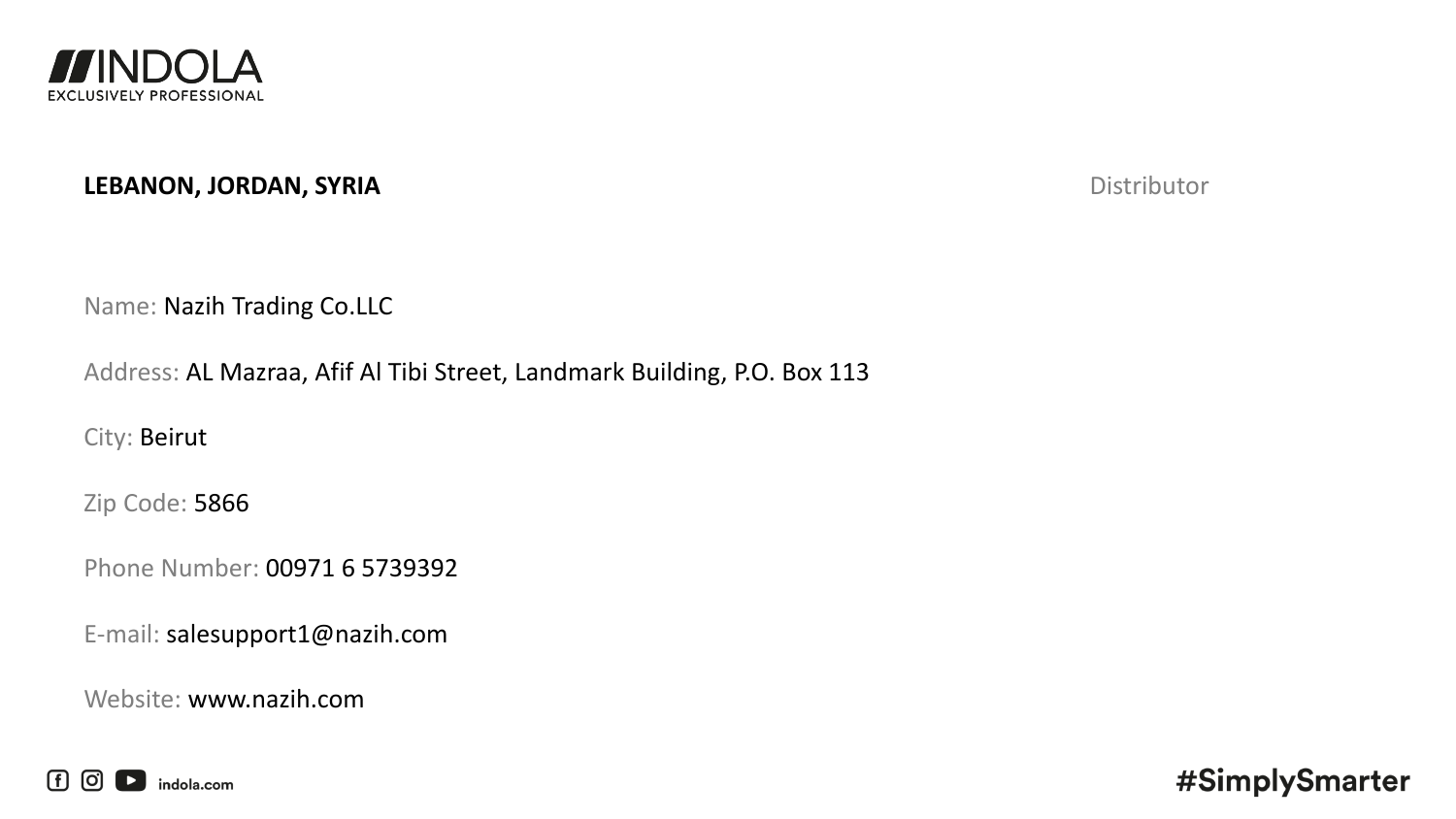

### **LEBANON, JORDAN, SYRIA** Distributor

Name: Nazih Trading Co.LLC

Address: AL Mazraa, Afif Al Tibi Street, Landmark Building, P.O. Box 113

City: Beirut

Zip Code: 5866

Phone Number: 00971 6 5739392

E-mail: salesupport1@nazih.com

Website: www.nazih.com

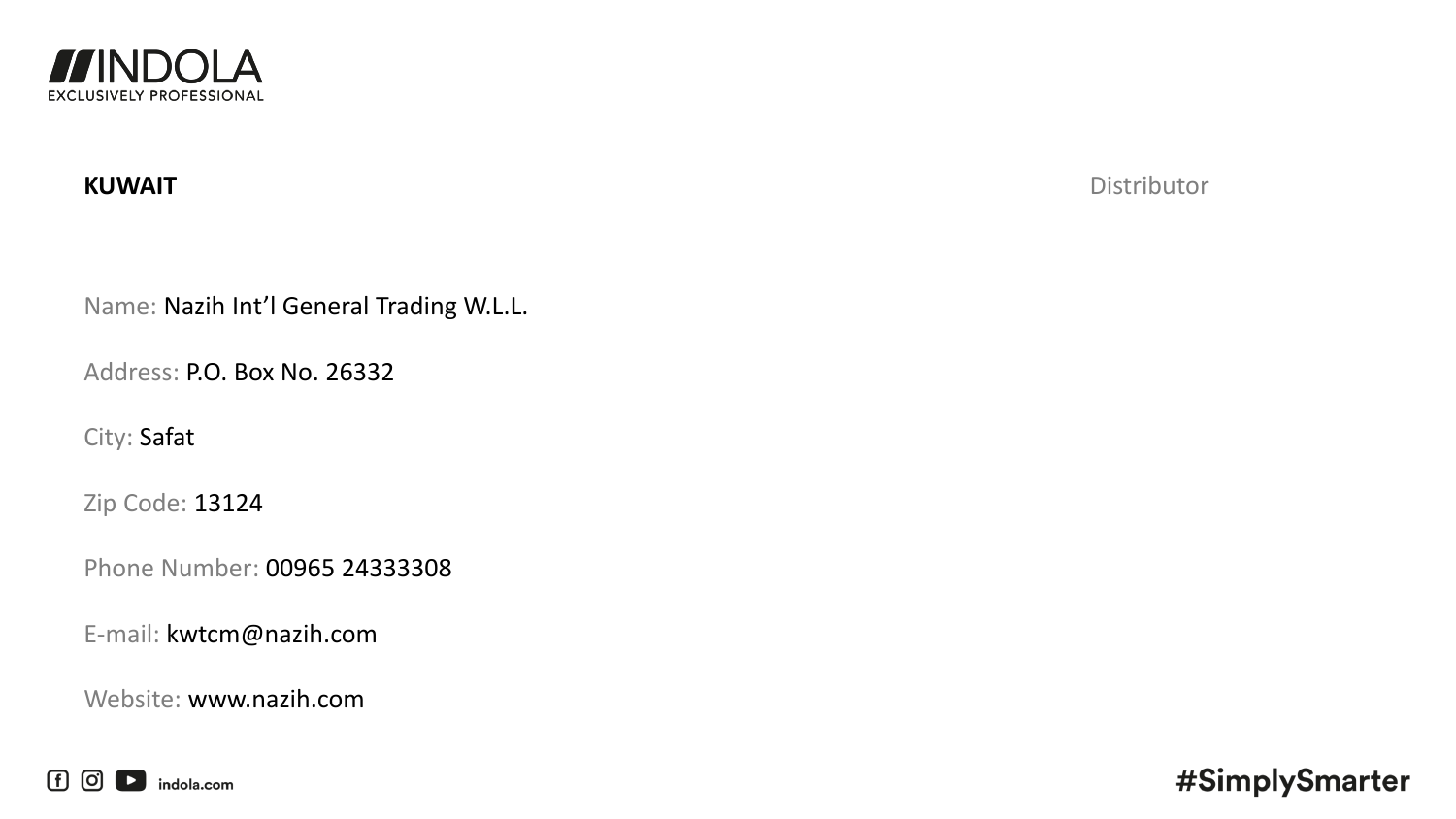

**KUWAIT** Distributor

Name: Nazih Int'l General Trading W.L.L.

Address: P.O. Box No. 26332

City: Safat

Zip Code: 13124

Phone Number: 00965 24333308

E-mail: kwtcm@nazih.com

Website: www.nazih.com

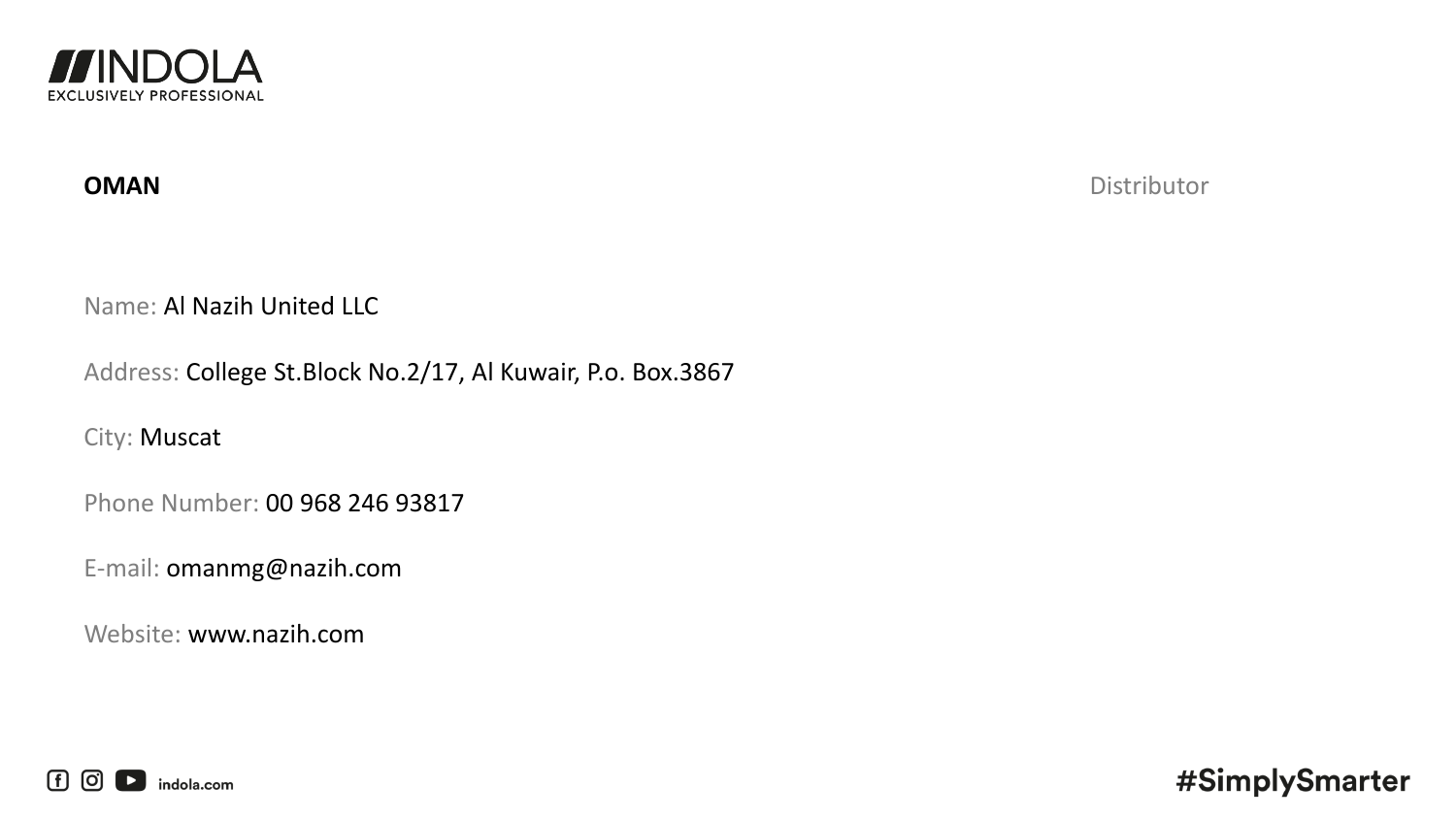

**OMAN** Distributor

Name: Al Nazih United LLC

Address: College St.Block No.2/17, Al Kuwair, P.o. Box.3867

City: Muscat

Phone Number: 00 968 246 93817

E-mail: omanmg@nazih.com

Website: www.nazih.com

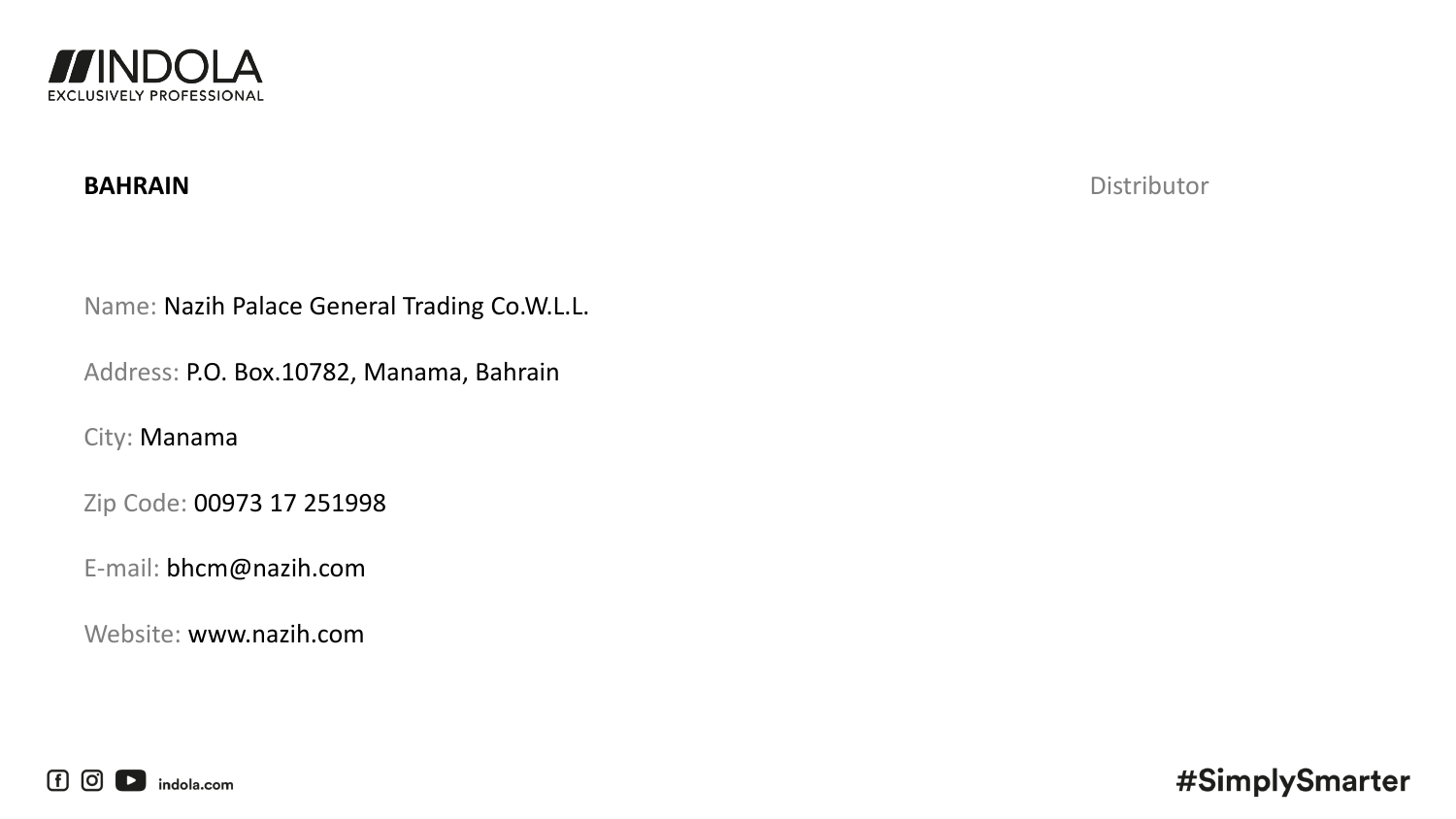

**BAHRAIN** Distributor

Name: Nazih Palace General Trading Co.W.L.L.

Address: P.O. Box.10782, Manama, Bahrain

City: Manama

Zip Code: 00973 17 251998

E-mail: bhcm@nazih.com

Website: www.nazih.com

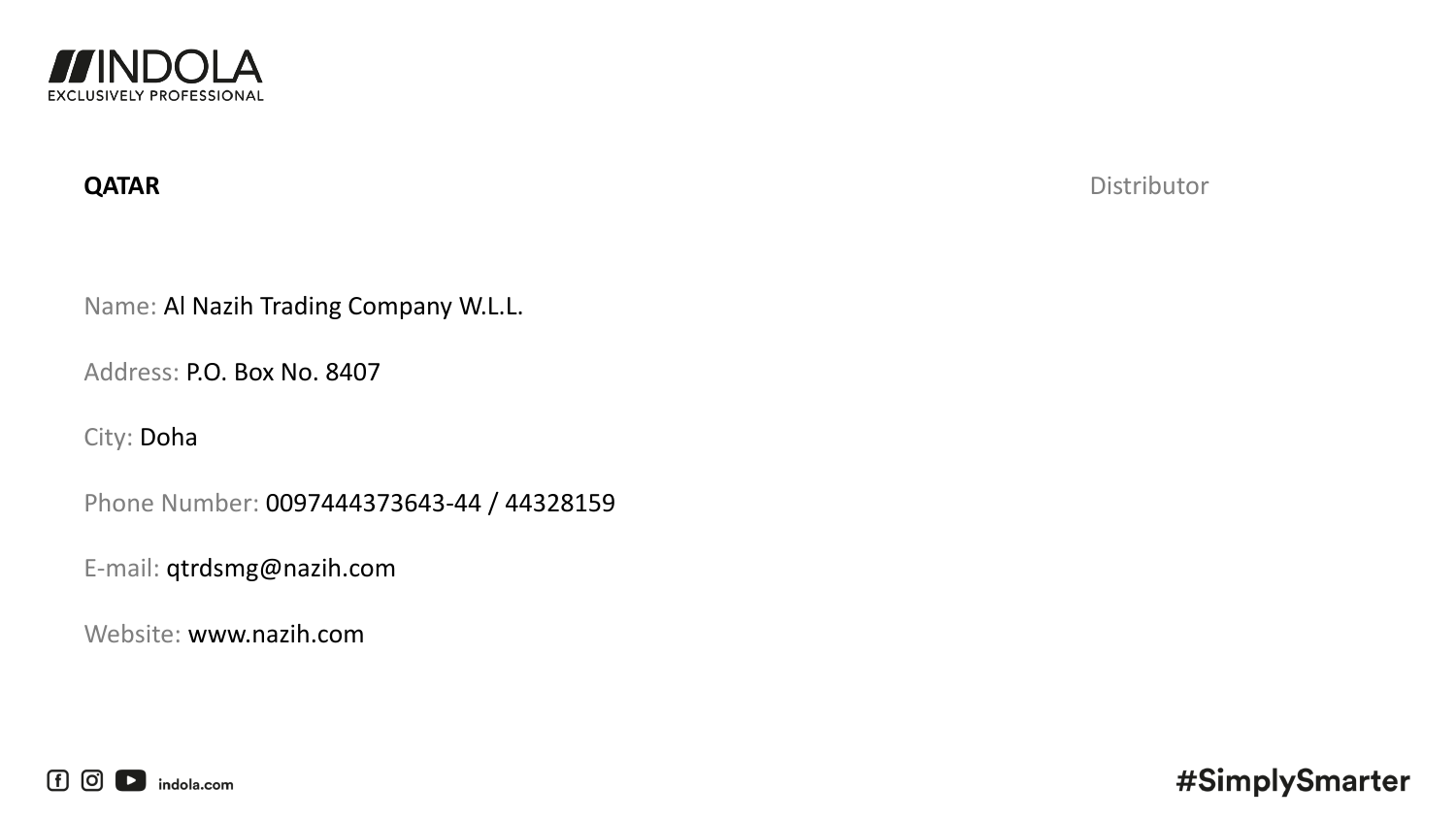

**QATAR** Distributor

Name: Al Nazih Trading Company W.L.L.

Address: P.O. Box No. 8407

City: Doha

Phone Number: 0097444373643-44 / 44328159

E-mail: qtrdsmg@nazih.com

Website: www.nazih.com

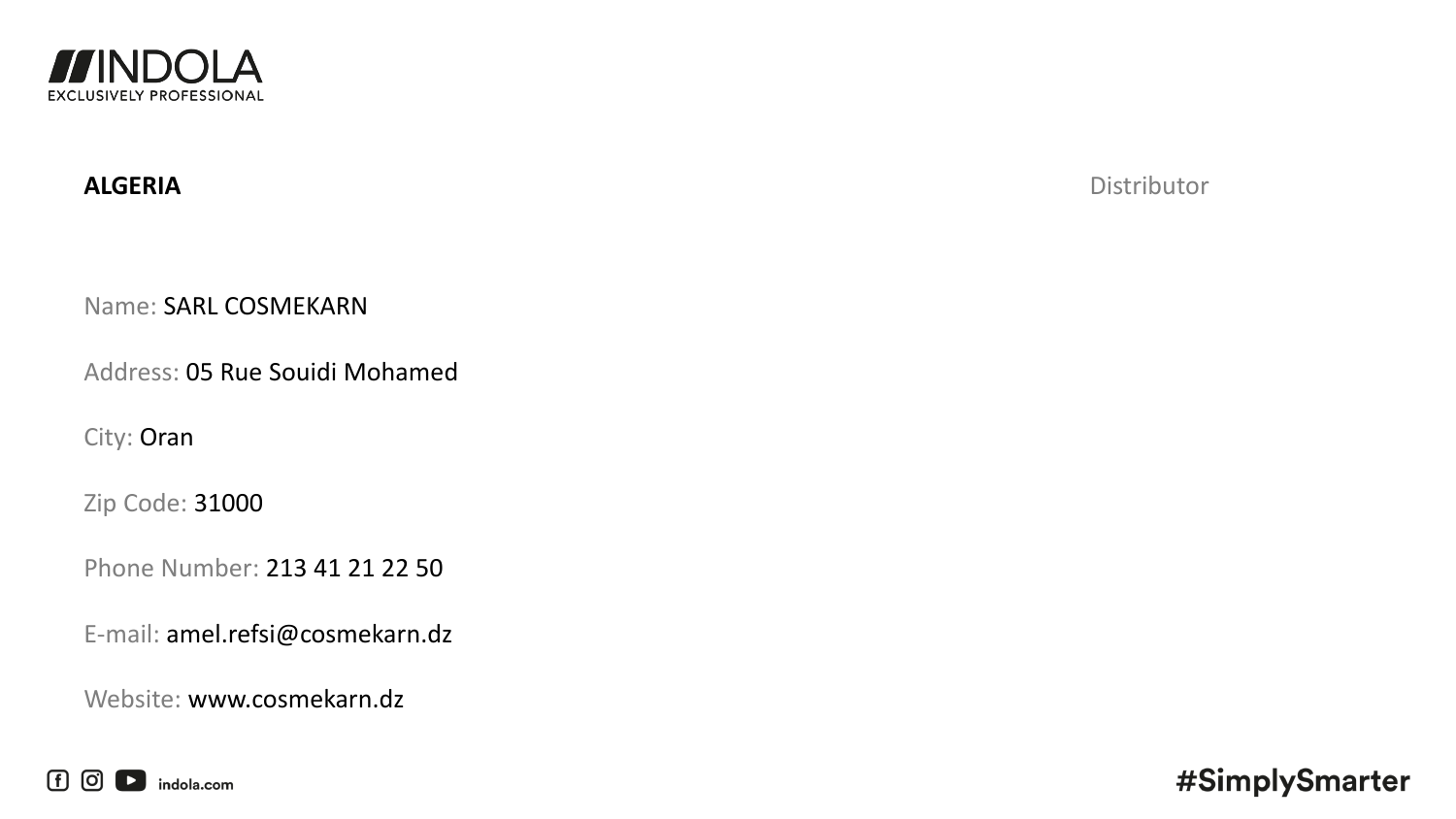

**ALGERIA** Distributor

Name: SARL COSMEKARN

Address: 05 Rue Souidi Mohamed

City: Oran

Zip Code: 31000

Phone Number: 213 41 21 22 50

E-mail: amel.refsi@cosmekarn.dz

Website: www.cosmekarn.dz

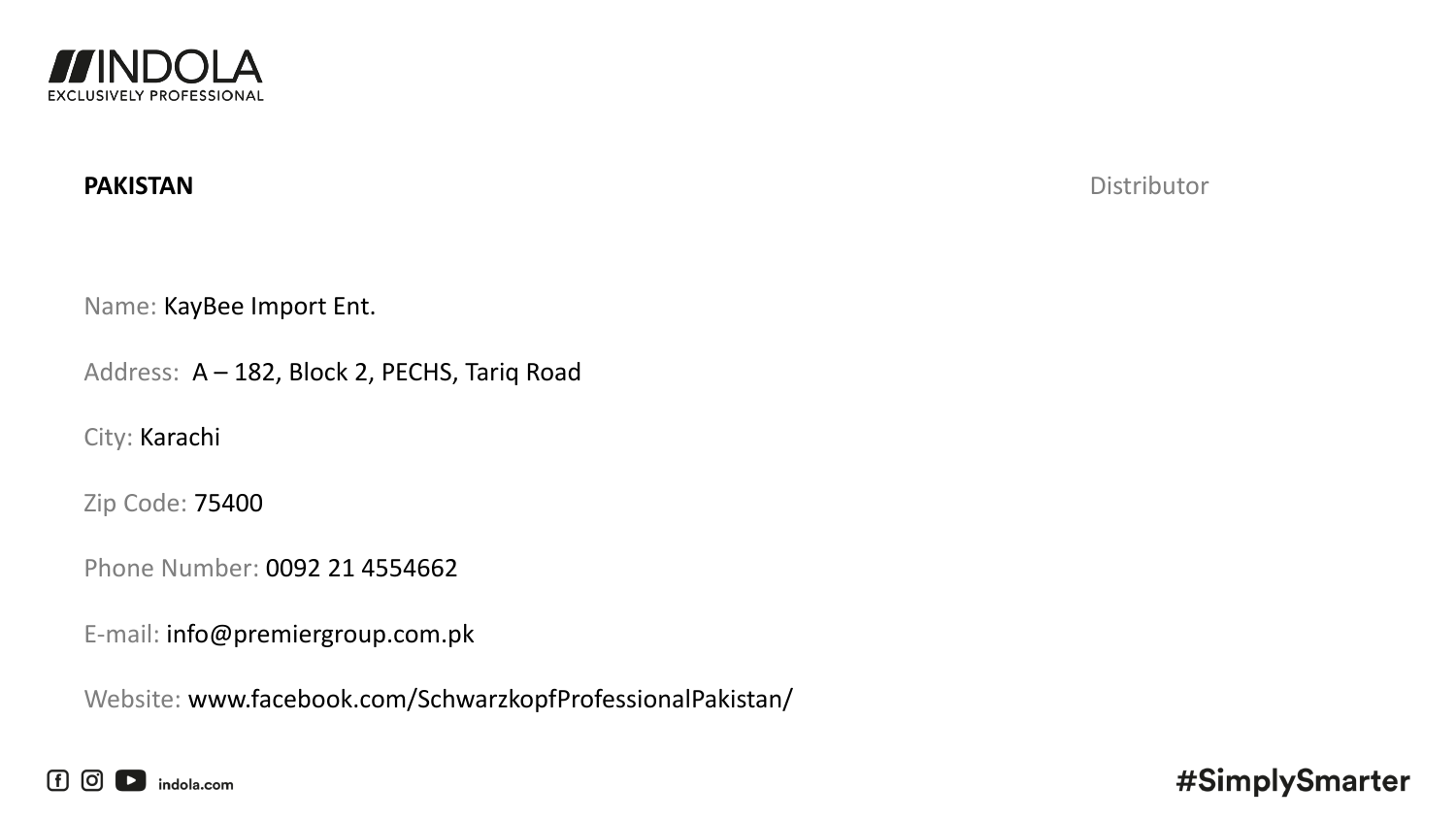

**PAKISTAN** Distributor

Name: KayBee Import Ent.

Address: A – 182, Block 2, PECHS, Tariq Road

City: Karachi

Zip Code: 75400

Phone Number: 0092 21 4554662

E-mail: info@premiergroup.com.pk

Website: www.facebook.com/SchwarzkopfProfessionalPakistan/

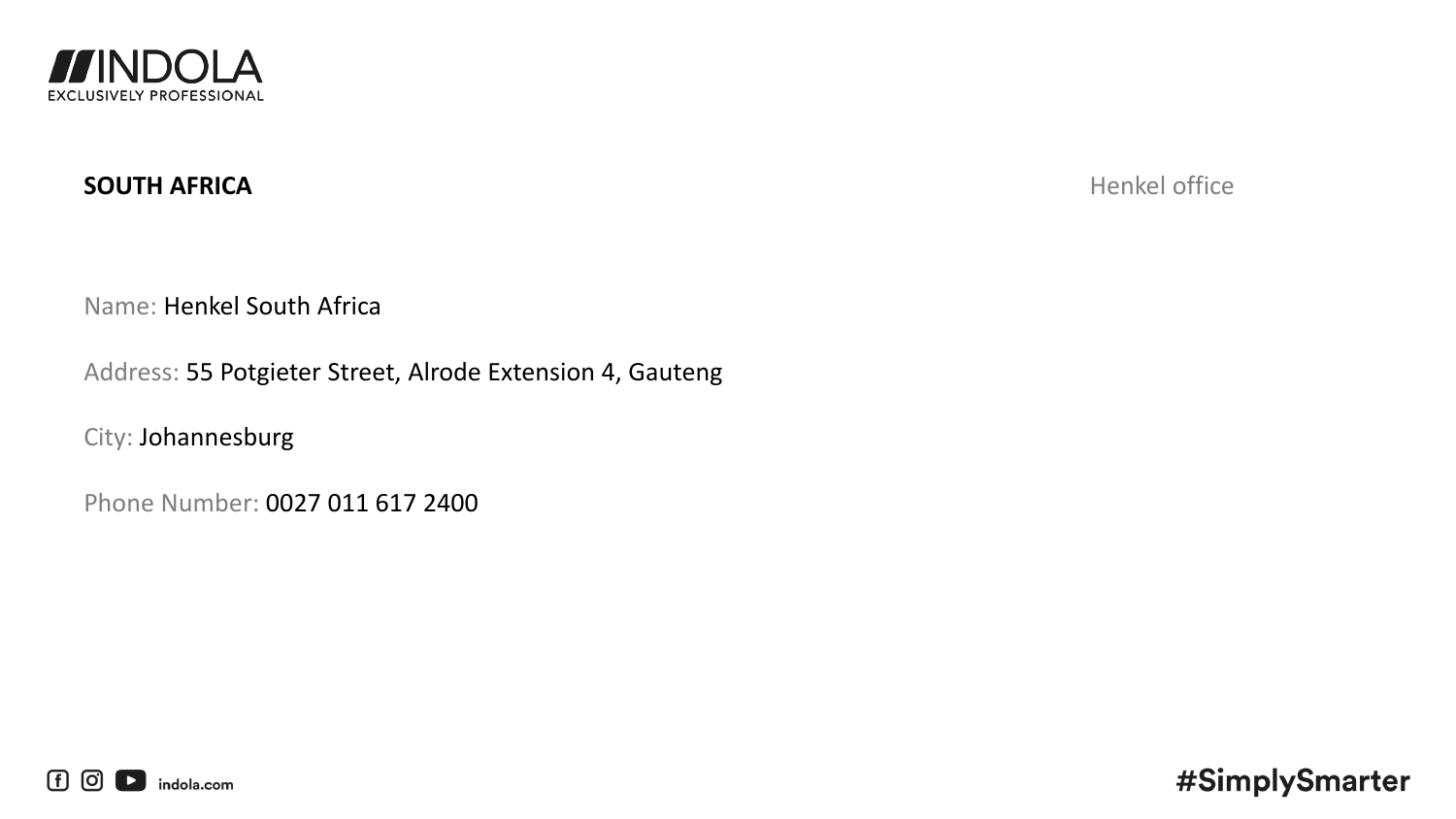

## **SOUTH AFRICA** Henkel office

Name: Henkel South Africa

Address: 55 Potgieter Street, Alrode Extension 4, Gauteng

City: Johannesburg

Phone Number: 0027 011 617 2400